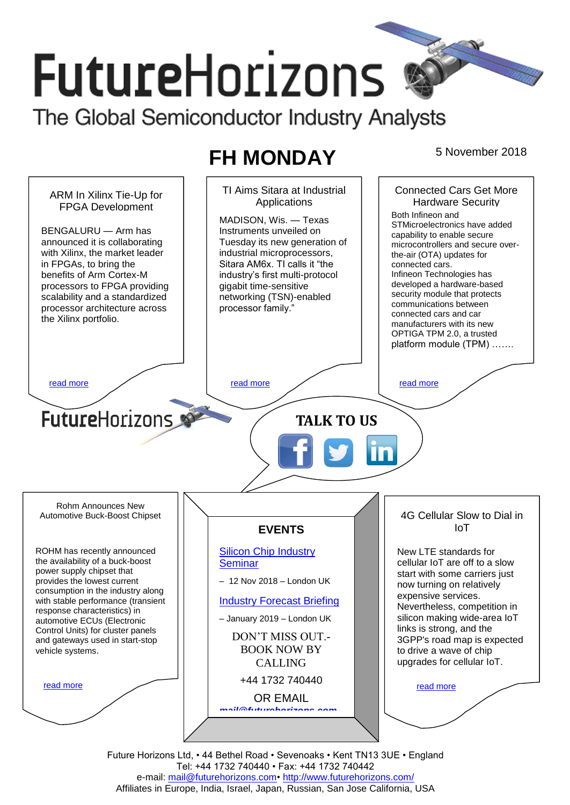# **FutureHorizons** The Global Semiconductor Industry Analysts

# **FH MONDAY** 5 November 2018



Future Horizons Ltd, • 44 Bethel Road • Sevenoaks • Kent TN13 3UE • England Tel: +44 1732 740440 • Fax: +44 1732 740442 e-mail: mail@futurehorizons.com• http://www.futurehorizons.com/ Affiliates in Europe, India, Israel, Japan, Russian, San Jose California, USA